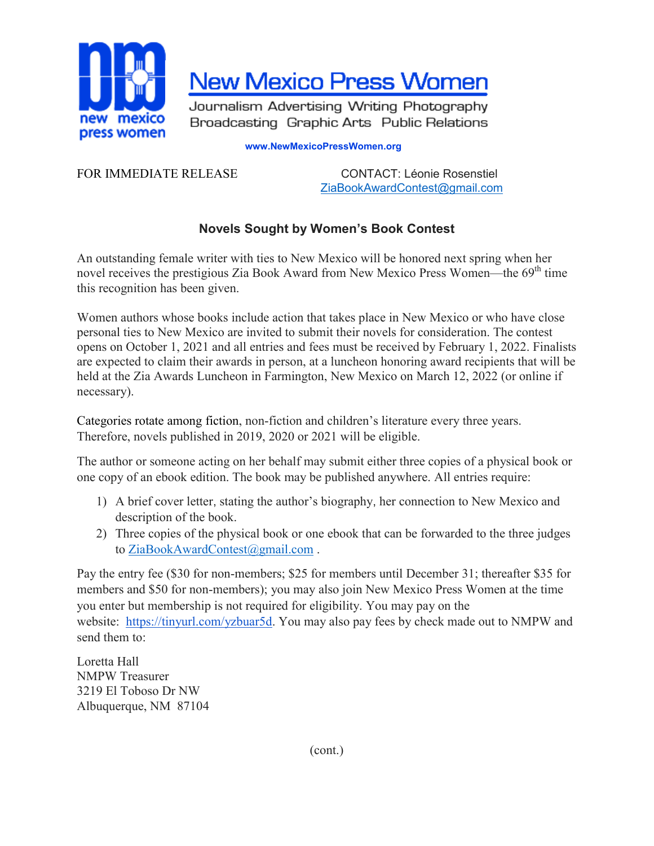

**New Mexico Press Women** 

Journalism Advertising Writing Photography Broadcasting Graphic Arts Public Relations

## **www.NewMexicoPressWomen.org**

FOR IMMEDIATE RELEASE CONTACT: Léonie Rosenstiel [ZiaBookAwardContest@gmail.com](mailto:ZiaBookAwardContest@gmail.com)

## **Novels Sought by Women's Book Contest**

An outstanding female writer with ties to New Mexico will be honored next spring when her novel receives the prestigious Zia Book Award from New Mexico Press Women—the  $69<sup>th</sup>$  time this recognition has been given.

Women authors whose books include action that takes place in New Mexico or who have close personal ties to New Mexico are invited to submit their novels for consideration. The contest opens on October 1, 2021 and all entries and fees must be received by February 1, 2022. Finalists are expected to claim their awards in person, at a luncheon honoring award recipients that will be held at the Zia Awards Luncheon in Farmington, New Mexico on March 12, 2022 (or online if necessary).

Categories rotate among fiction, non-fiction and children's literature every three years. Therefore, novels published in 2019, 2020 or 2021 will be eligible.

The author or someone acting on her behalf may submit either three copies of a physical book or one copy of an ebook edition. The book may be published anywhere. All entries require:

- 1) A brief cover letter, stating the author's biography, her connection to New Mexico and description of the book.
- 2) Three copies of the physical book or one ebook that can be forwarded to the three judges to [ZiaBookAwardContest@gmail.com](mailto:ZiaBookAwardContest@gmail.com) .

Pay the entry fee (\$30 for non-members; \$25 for members until December 31; thereafter \$35 for members and \$50 for non-members); you may also join New Mexico Press Women at the time you enter but membership is not required for eligibility. You may pay on the website: [https://tinyurl.com/yzbuar5d.](https://tinyurl.com/yzbuar5d) You may also pay fees by check made out to NMPW and send them to:

Loretta Hall NMPW Treasurer 3219 El Toboso Dr NW Albuquerque, NM 87104

(cont.)